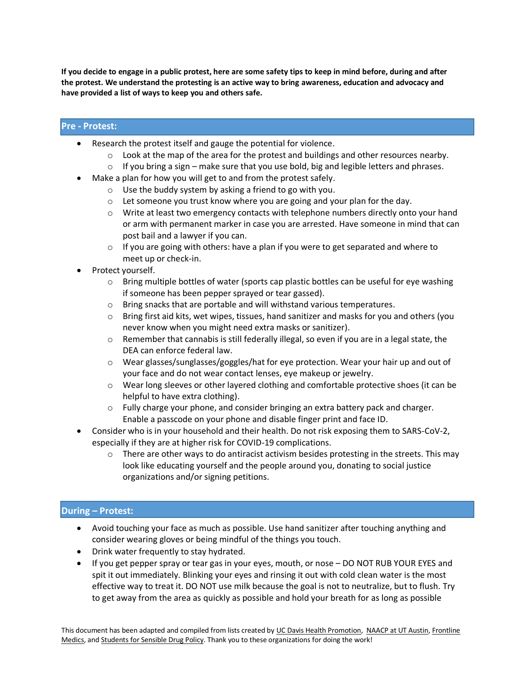**If you decide to engage in a public protest, here are some safety tips to keep in mind before, during and after the protest. We understand the protesting is an active way to bring awareness, education and advocacy and have provided a list of ways to keep you and others safe.**

## **Pre - Protest:**

- Research the protest itself and gauge the potential for violence.
	- $\circ$  Look at the map of the area for the protest and buildings and other resources nearby.
	- $\circ$  If you bring a sign make sure that you use bold, big and legible letters and phrases.
- Make a plan for how you will get to and from the protest safely.
	- o Use the buddy system by asking a friend to go with you.
	- o Let someone you trust know where you are going and your plan for the day.
	- $\circ$  Write at least two emergency contacts with telephone numbers directly onto your hand or arm with permanent marker in case you are arrested. Have someone in mind that can post bail and a lawyer if you can.
	- $\circ$  If you are going with others: have a plan if you were to get separated and where to meet up or check-in.
- Protect yourself.
	- $\circ$  Bring multiple bottles of water (sports cap plastic bottles can be useful for eye washing if someone has been pepper sprayed or tear gassed).
	- o Bring snacks that are portable and will withstand various temperatures.
	- $\circ$  Bring first aid kits, wet wipes, tissues, hand sanitizer and masks for you and others (you never know when you might need extra masks or sanitizer).
	- $\circ$  Remember that cannabis is still federally illegal, so even if you are in a legal state, the DEA can enforce federal law.
	- $\circ$  Wear glasses/sunglasses/goggles/hat for eye protection. Wear your hair up and out of your face and do not wear contact lenses, eye makeup or jewelry.
	- $\circ$  Wear long sleeves or other layered clothing and comfortable protective shoes (it can be helpful to have extra clothing).
	- $\circ$  Fully charge your phone, and consider bringing an extra battery pack and charger. Enable a passcode on your phone and disable finger print and face ID.
- Consider who is in your household and their health. Do not risk exposing them to SARS-CoV-2, especially if they are at higher risk for COVID-19 complications.
	- $\circ$  There are other ways to do antiracist activism besides protesting in the streets. This may look like educating yourself and the people around you, donating to social justice organizations and/or signing petitions.

## **During – Protest:**

- Avoid touching your face as much as possible. Use hand sanitizer after touching anything and consider wearing gloves or being mindful of the things you touch.
- Drink water frequently to stay hydrated.
- If you get pepper spray or tear gas in your eyes, mouth, or nose DO NOT RUB YOUR EYES and spit it out immediately. Blinking your eyes and rinsing it out with cold clean water is the most effective way to treat it. DO NOT use milk because the goal is not to neutralize, but to flush. Try to get away from the area as quickly as possible and hold your breath for as long as possible